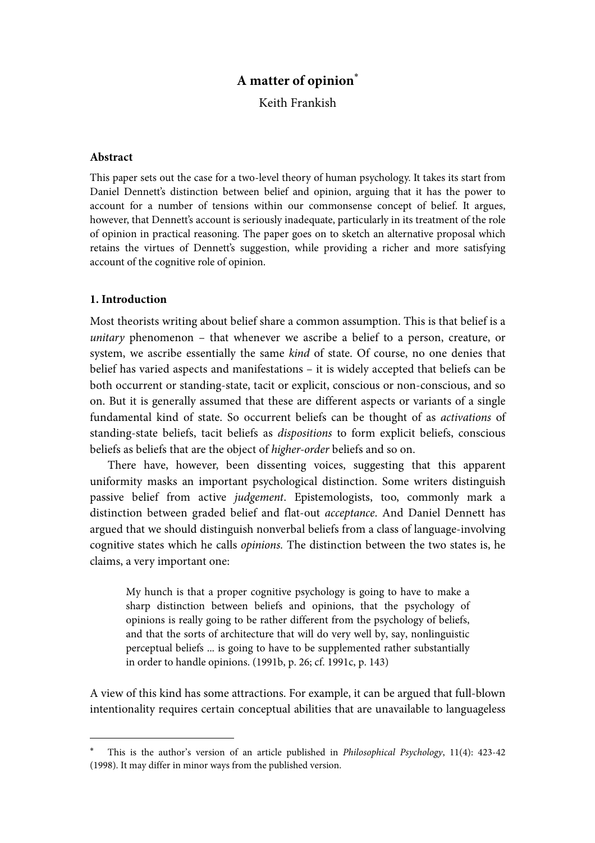# **A matter of opinion**<sup>∗</sup>

Keith Frankish

#### **Abstract**

This paper sets out the case for a two-level theory of human psychology. It takes its start from Daniel Dennett's distinction between belief and opinion, arguing that it has the power to account for a number of tensions within our commonsense concept of belief. It argues, however, that Dennett's account is seriously inadequate, particularly in its treatment of the role of opinion in practical reasoning. The paper goes on to sketch an alternative proposal which retains the virtues of Dennett's suggestion, while providing a richer and more satisfying account of the cognitive role of opinion.

## **1. Introduction**

-

Most theorists writing about belief share a common assumption. This is that belief is a unitary phenomenon – that whenever we ascribe a belief to a person, creature, or system, we ascribe essentially the same kind of state. Of course, no one denies that belief has varied aspects and manifestations – it is widely accepted that beliefs can be both occurrent or standing-state, tacit or explicit, conscious or non-conscious, and so on. But it is generally assumed that these are different aspects or variants of a single fundamental kind of state. So occurrent beliefs can be thought of as activations of standing-state beliefs, tacit beliefs as dispositions to form explicit beliefs, conscious beliefs as beliefs that are the object of higher-order beliefs and so on.

 There have, however, been dissenting voices, suggesting that this apparent uniformity masks an important psychological distinction. Some writers distinguish passive belief from active judgement. Epistemologists, too, commonly mark a distinction between graded belief and flat-out acceptance. And Daniel Dennett has argued that we should distinguish nonverbal beliefs from a class of language-involving cognitive states which he calls opinions. The distinction between the two states is, he claims, a very important one:

My hunch is that a proper cognitive psychology is going to have to make a sharp distinction between beliefs and opinions, that the psychology of opinions is really going to be rather different from the psychology of beliefs, and that the sorts of architecture that will do very well by, say, nonlinguistic perceptual beliefs ... is going to have to be supplemented rather substantially in order to handle opinions. (1991b, p. 26; cf. 1991c, p. 143)

A view of this kind has some attractions. For example, it can be argued that full-blown intentionality requires certain conceptual abilities that are unavailable to languageless

This is the author's version of an article published in *Philosophical Psychology*, 11(4): 423-42 (1998). It may differ in minor ways from the published version.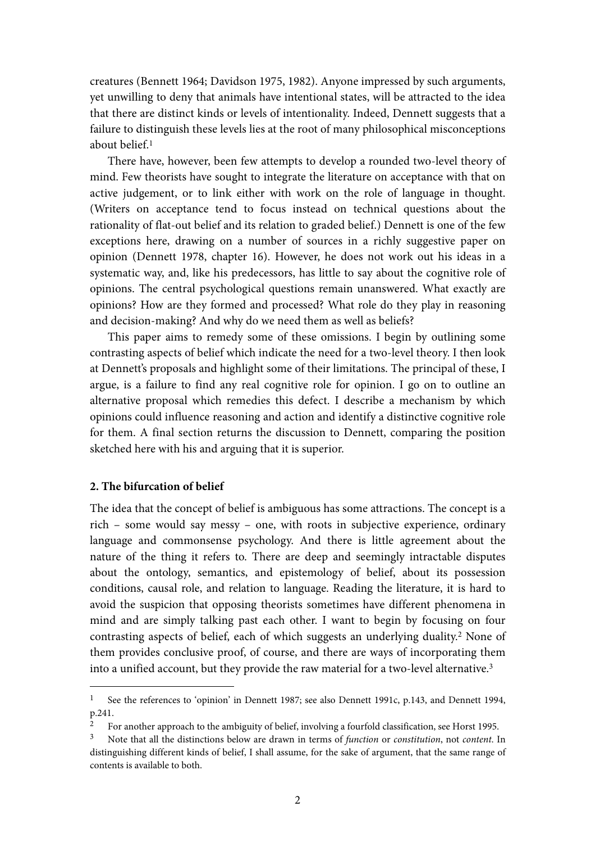creatures (Bennett 1964; Davidson 1975, 1982). Anyone impressed by such arguments, yet unwilling to deny that animals have intentional states, will be attracted to the idea that there are distinct kinds or levels of intentionality. Indeed, Dennett suggests that a failure to distinguish these levels lies at the root of many philosophical misconceptions about belief.<sup>1</sup>

 There have, however, been few attempts to develop a rounded two-level theory of mind. Few theorists have sought to integrate the literature on acceptance with that on active judgement, or to link either with work on the role of language in thought. (Writers on acceptance tend to focus instead on technical questions about the rationality of flat-out belief and its relation to graded belief.) Dennett is one of the few exceptions here, drawing on a number of sources in a richly suggestive paper on opinion (Dennett 1978, chapter 16). However, he does not work out his ideas in a systematic way, and, like his predecessors, has little to say about the cognitive role of opinions. The central psychological questions remain unanswered. What exactly are opinions? How are they formed and processed? What role do they play in reasoning and decision-making? And why do we need them as well as beliefs?

 This paper aims to remedy some of these omissions. I begin by outlining some contrasting aspects of belief which indicate the need for a two-level theory. I then look at Dennett's proposals and highlight some of their limitations. The principal of these, I argue, is a failure to find any real cognitive role for opinion. I go on to outline an alternative proposal which remedies this defect. I describe a mechanism by which opinions could influence reasoning and action and identify a distinctive cognitive role for them. A final section returns the discussion to Dennett, comparing the position sketched here with his and arguing that it is superior.

## **2. The bifurcation of belief**

 $\overline{a}$ 

The idea that the concept of belief is ambiguous has some attractions. The concept is a rich – some would say messy – one, with roots in subjective experience, ordinary language and commonsense psychology. And there is little agreement about the nature of the thing it refers to. There are deep and seemingly intractable disputes about the ontology, semantics, and epistemology of belief, about its possession conditions, causal role, and relation to language. Reading the literature, it is hard to avoid the suspicion that opposing theorists sometimes have different phenomena in mind and are simply talking past each other. I want to begin by focusing on four contrasting aspects of belief, each of which suggests an underlying duality.<sup>2</sup> None of them provides conclusive proof, of course, and there are ways of incorporating them into a unified account, but they provide the raw material for a two-level alternative.<sup>3</sup>

<sup>1</sup> See the references to 'opinion' in Dennett 1987; see also Dennett 1991c, p.143, and Dennett 1994, p.241.

<sup>2</sup> For another approach to the ambiguity of belief, involving a fourfold classification, see Horst 1995.

<sup>3</sup> Note that all the distinctions below are drawn in terms of function or constitution, not content. In distinguishing different kinds of belief, I shall assume, for the sake of argument, that the same range of contents is available to both.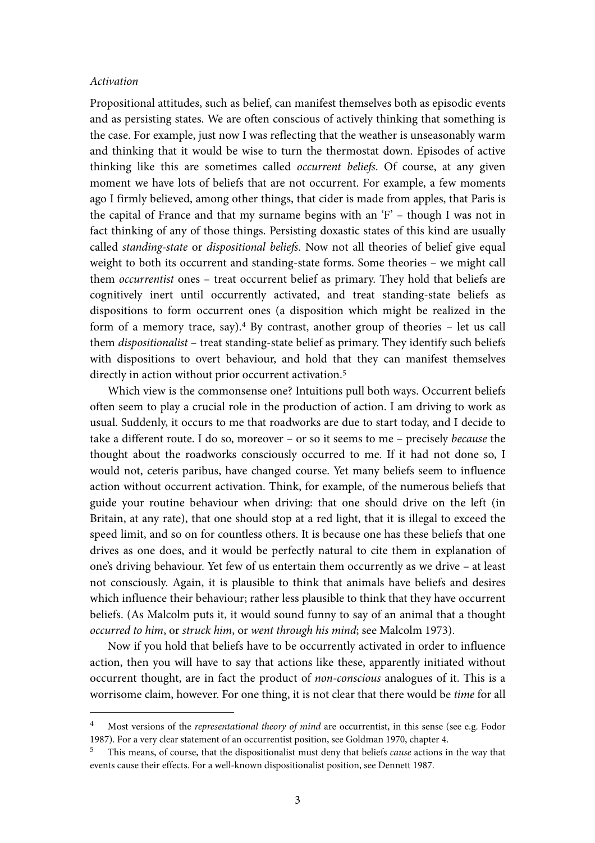#### Activation

 $\overline{a}$ 

Propositional attitudes, such as belief, can manifest themselves both as episodic events and as persisting states. We are often conscious of actively thinking that something is the case. For example, just now I was reflecting that the weather is unseasonably warm and thinking that it would be wise to turn the thermostat down. Episodes of active thinking like this are sometimes called occurrent beliefs. Of course, at any given moment we have lots of beliefs that are not occurrent. For example, a few moments ago I firmly believed, among other things, that cider is made from apples, that Paris is the capital of France and that my surname begins with an 'F' – though I was not in fact thinking of any of those things. Persisting doxastic states of this kind are usually called standing-state or dispositional beliefs. Now not all theories of belief give equal weight to both its occurrent and standing-state forms. Some theories – we might call them occurrentist ones – treat occurrent belief as primary. They hold that beliefs are cognitively inert until occurrently activated, and treat standing-state beliefs as dispositions to form occurrent ones (a disposition which might be realized in the form of a memory trace, say).<sup>4</sup> By contrast, another group of theories – let us call them dispositionalist – treat standing-state belief as primary. They identify such beliefs with dispositions to overt behaviour, and hold that they can manifest themselves directly in action without prior occurrent activation.<sup>5</sup>

 Which view is the commonsense one? Intuitions pull both ways. Occurrent beliefs often seem to play a crucial role in the production of action. I am driving to work as usual. Suddenly, it occurs to me that roadworks are due to start today, and I decide to take a different route. I do so, moreover – or so it seems to me – precisely because the thought about the roadworks consciously occurred to me. If it had not done so, I would not, ceteris paribus, have changed course. Yet many beliefs seem to influence action without occurrent activation. Think, for example, of the numerous beliefs that guide your routine behaviour when driving: that one should drive on the left (in Britain, at any rate), that one should stop at a red light, that it is illegal to exceed the speed limit, and so on for countless others. It is because one has these beliefs that one drives as one does, and it would be perfectly natural to cite them in explanation of one's driving behaviour. Yet few of us entertain them occurrently as we drive – at least not consciously. Again, it is plausible to think that animals have beliefs and desires which influence their behaviour; rather less plausible to think that they have occurrent beliefs. (As Malcolm puts it, it would sound funny to say of an animal that a thought occurred to him, or struck him, or went through his mind; see Malcolm 1973).

 Now if you hold that beliefs have to be occurrently activated in order to influence action, then you will have to say that actions like these, apparently initiated without occurrent thought, are in fact the product of non-conscious analogues of it. This is a worrisome claim, however. For one thing, it is not clear that there would be time for all

<sup>4</sup> Most versions of the *representational theory of mind* are occurrentist, in this sense (see e.g. Fodor 1987). For a very clear statement of an occurrentist position, see Goldman 1970, chapter 4.

<sup>&</sup>lt;sup>5</sup> This means, of course, that the dispositionalist must deny that beliefs *cause* actions in the way that events cause their effects. For a well-known dispositionalist position, see Dennett 1987.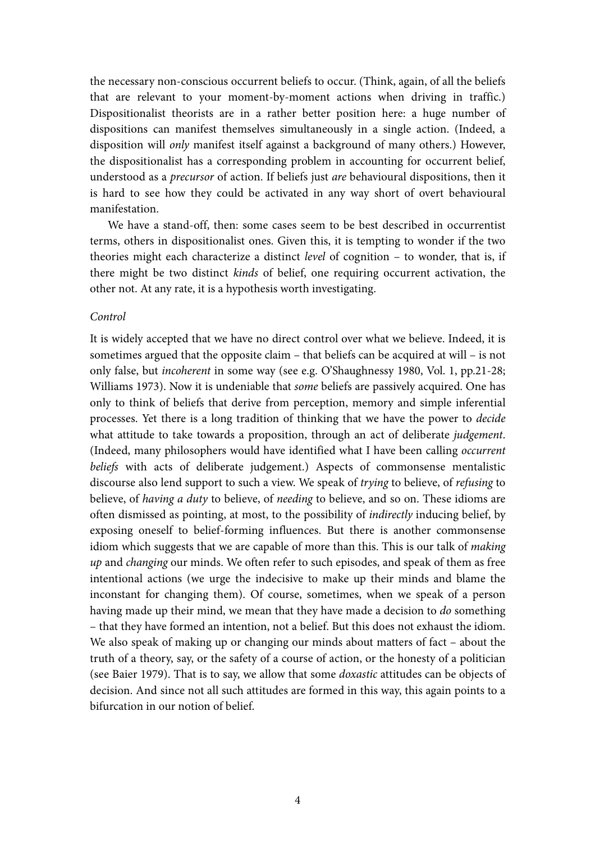the necessary non-conscious occurrent beliefs to occur. (Think, again, of all the beliefs that are relevant to your moment-by-moment actions when driving in traffic.) Dispositionalist theorists are in a rather better position here: a huge number of dispositions can manifest themselves simultaneously in a single action. (Indeed, a disposition will only manifest itself against a background of many others.) However, the dispositionalist has a corresponding problem in accounting for occurrent belief, understood as a precursor of action. If beliefs just are behavioural dispositions, then it is hard to see how they could be activated in any way short of overt behavioural manifestation.

 We have a stand-off, then: some cases seem to be best described in occurrentist terms, others in dispositionalist ones. Given this, it is tempting to wonder if the two theories might each characterize a distinct level of cognition – to wonder, that is, if there might be two distinct kinds of belief, one requiring occurrent activation, the other not. At any rate, it is a hypothesis worth investigating.

#### Control

It is widely accepted that we have no direct control over what we believe. Indeed, it is sometimes argued that the opposite claim – that beliefs can be acquired at will – is not only false, but incoherent in some way (see e.g. O'Shaughnessy 1980, Vol. 1, pp.21-28; Williams 1973). Now it is undeniable that some beliefs are passively acquired. One has only to think of beliefs that derive from perception, memory and simple inferential processes. Yet there is a long tradition of thinking that we have the power to decide what attitude to take towards a proposition, through an act of deliberate judgement. (Indeed, many philosophers would have identified what I have been calling occurrent beliefs with acts of deliberate judgement.) Aspects of commonsense mentalistic discourse also lend support to such a view. We speak of trying to believe, of refusing to believe, of having a duty to believe, of needing to believe, and so on. These idioms are often dismissed as pointing, at most, to the possibility of indirectly inducing belief, by exposing oneself to belief-forming influences. But there is another commonsense idiom which suggests that we are capable of more than this. This is our talk of *making* up and changing our minds. We often refer to such episodes, and speak of them as free intentional actions (we urge the indecisive to make up their minds and blame the inconstant for changing them). Of course, sometimes, when we speak of a person having made up their mind, we mean that they have made a decision to do something – that they have formed an intention, not a belief. But this does not exhaust the idiom. We also speak of making up or changing our minds about matters of fact – about the truth of a theory, say, or the safety of a course of action, or the honesty of a politician (see Baier 1979). That is to say, we allow that some doxastic attitudes can be objects of decision. And since not all such attitudes are formed in this way, this again points to a bifurcation in our notion of belief.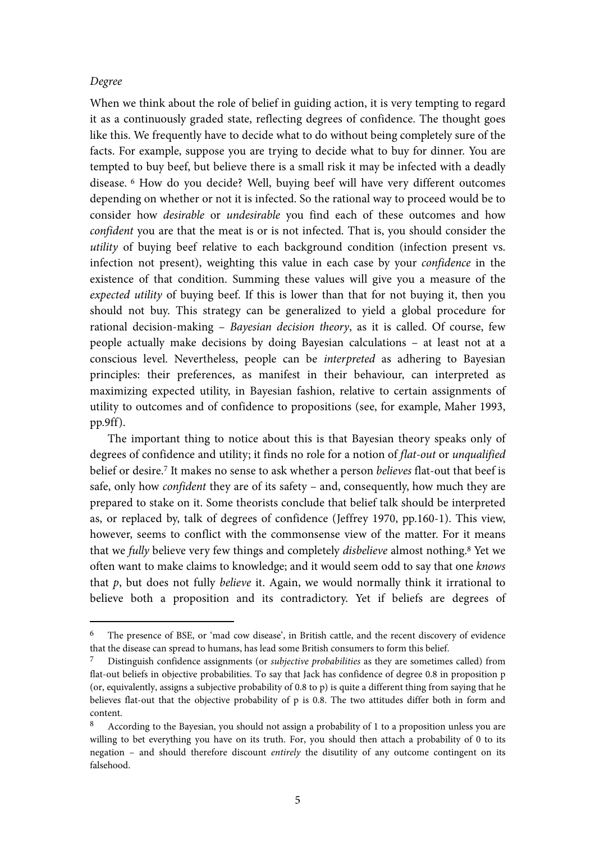#### Degree

 $\overline{a}$ 

When we think about the role of belief in guiding action, it is very tempting to regard it as a continuously graded state, reflecting degrees of confidence. The thought goes like this. We frequently have to decide what to do without being completely sure of the facts. For example, suppose you are trying to decide what to buy for dinner. You are tempted to buy beef, but believe there is a small risk it may be infected with a deadly disease.<sup>6</sup> How do you decide? Well, buying beef will have very different outcomes depending on whether or not it is infected. So the rational way to proceed would be to consider how desirable or undesirable you find each of these outcomes and how confident you are that the meat is or is not infected. That is, you should consider the utility of buying beef relative to each background condition (infection present vs. infection not present), weighting this value in each case by your confidence in the existence of that condition. Summing these values will give you a measure of the expected utility of buying beef. If this is lower than that for not buying it, then you should not buy. This strategy can be generalized to yield a global procedure for rational decision-making – Bayesian decision theory, as it is called. Of course, few people actually make decisions by doing Bayesian calculations – at least not at a conscious level. Nevertheless, people can be interpreted as adhering to Bayesian principles: their preferences, as manifest in their behaviour, can interpreted as maximizing expected utility, in Bayesian fashion, relative to certain assignments of utility to outcomes and of confidence to propositions (see, for example, Maher 1993, pp.9ff).

 The important thing to notice about this is that Bayesian theory speaks only of degrees of confidence and utility; it finds no role for a notion of flat-out or unqualified belief or desire.<sup>7</sup> It makes no sense to ask whether a person *believes* flat-out that beef is safe, only how confident they are of its safety – and, consequently, how much they are prepared to stake on it. Some theorists conclude that belief talk should be interpreted as, or replaced by, talk of degrees of confidence (Jeffrey 1970, pp.160-1). This view, however, seems to conflict with the commonsense view of the matter. For it means that we *fully* believe very few things and completely *disbelieve* almost nothing.<sup>8</sup> Yet we often want to make claims to knowledge; and it would seem odd to say that one knows that  $p$ , but does not fully *believe* it. Again, we would normally think it irrational to believe both a proposition and its contradictory. Yet if beliefs are degrees of

<sup>6</sup> The presence of BSE, or 'mad cow disease', in British cattle, and the recent discovery of evidence that the disease can spread to humans, has lead some British consumers to form this belief.

<sup>7</sup> Distinguish confidence assignments (or subjective probabilities as they are sometimes called) from flat-out beliefs in objective probabilities. To say that Jack has confidence of degree 0.8 in proposition p (or, equivalently, assigns a subjective probability of 0.8 to p) is quite a different thing from saying that he believes flat-out that the objective probability of p is 0.8. The two attitudes differ both in form and content.

<sup>8</sup> According to the Bayesian, you should not assign a probability of 1 to a proposition unless you are willing to bet everything you have on its truth. For, you should then attach a probability of 0 to its negation – and should therefore discount entirely the disutility of any outcome contingent on its falsehood.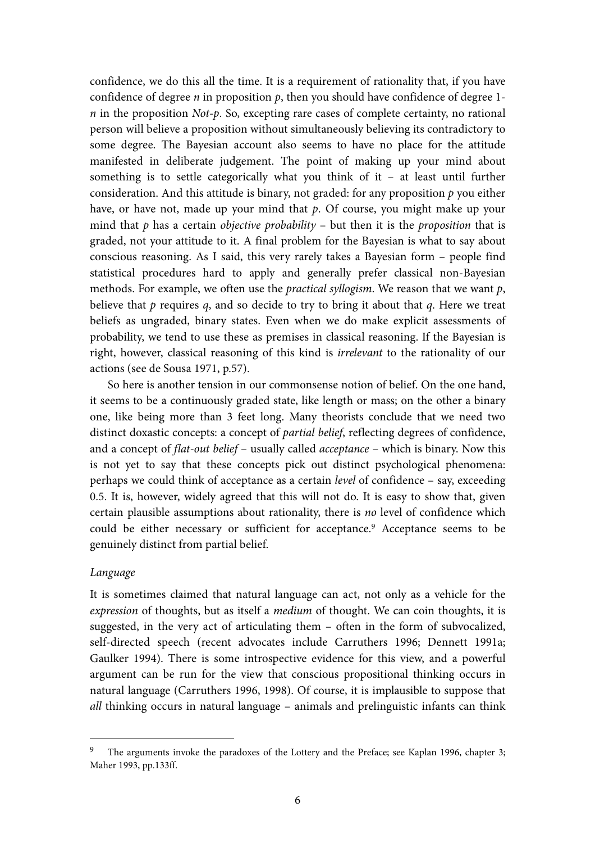confidence, we do this all the time. It is a requirement of rationality that, if you have confidence of degree *n* in proposition  $p$ , then you should have confidence of degree 1 $n$  in the proposition *Not-p*. So, excepting rare cases of complete certainty, no rational person will believe a proposition without simultaneously believing its contradictory to some degree. The Bayesian account also seems to have no place for the attitude manifested in deliberate judgement. The point of making up your mind about something is to settle categorically what you think of it – at least until further consideration. And this attitude is binary, not graded: for any proposition  $p$  you either have, or have not, made up your mind that p. Of course, you might make up your mind that  $p$  has a certain *objective probability* – but then it is the *proposition* that is graded, not your attitude to it. A final problem for the Bayesian is what to say about conscious reasoning. As I said, this very rarely takes a Bayesian form – people find statistical procedures hard to apply and generally prefer classical non-Bayesian methods. For example, we often use the *practical syllogism*. We reason that we want  $p$ , believe that  $p$  requires  $q$ , and so decide to try to bring it about that  $q$ . Here we treat beliefs as ungraded, binary states. Even when we do make explicit assessments of probability, we tend to use these as premises in classical reasoning. If the Bayesian is right, however, classical reasoning of this kind is irrelevant to the rationality of our actions (see de Sousa 1971, p.57).

 So here is another tension in our commonsense notion of belief. On the one hand, it seems to be a continuously graded state, like length or mass; on the other a binary one, like being more than 3 feet long. Many theorists conclude that we need two distinct doxastic concepts: a concept of partial belief, reflecting degrees of confidence, and a concept of flat-out belief – usually called acceptance – which is binary. Now this is not yet to say that these concepts pick out distinct psychological phenomena: perhaps we could think of acceptance as a certain level of confidence – say, exceeding 0.5. It is, however, widely agreed that this will not do. It is easy to show that, given certain plausible assumptions about rationality, there is no level of confidence which could be either necessary or sufficient for acceptance.<sup>9</sup> Acceptance seems to be genuinely distinct from partial belief.

### Language

-

It is sometimes claimed that natural language can act, not only as a vehicle for the expression of thoughts, but as itself a *medium* of thought. We can coin thoughts, it is suggested, in the very act of articulating them – often in the form of subvocalized, self-directed speech (recent advocates include Carruthers 1996; Dennett 1991a; Gaulker 1994). There is some introspective evidence for this view, and a powerful argument can be run for the view that conscious propositional thinking occurs in natural language (Carruthers 1996, 1998). Of course, it is implausible to suppose that all thinking occurs in natural language – animals and prelinguistic infants can think

<sup>9</sup> The arguments invoke the paradoxes of the Lottery and the Preface; see Kaplan 1996, chapter 3; Maher 1993, pp.133ff.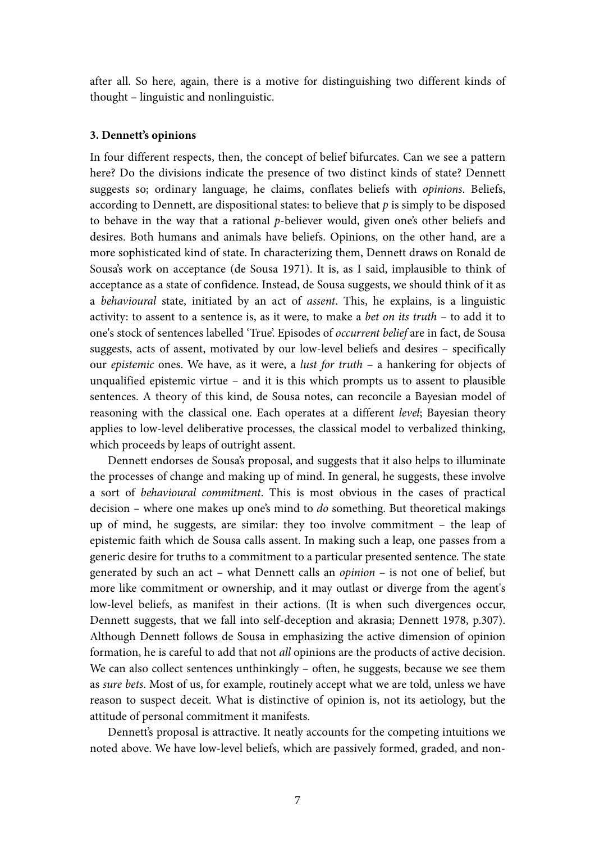after all. So here, again, there is a motive for distinguishing two different kinds of thought – linguistic and nonlinguistic.

### **3. Dennett's opinions**

In four different respects, then, the concept of belief bifurcates. Can we see a pattern here? Do the divisions indicate the presence of two distinct kinds of state? Dennett suggests so; ordinary language, he claims, conflates beliefs with opinions. Beliefs, according to Dennett, are dispositional states: to believe that  $p$  is simply to be disposed to behave in the way that a rational p-believer would, given one's other beliefs and desires. Both humans and animals have beliefs. Opinions, on the other hand, are a more sophisticated kind of state. In characterizing them, Dennett draws on Ronald de Sousa's work on acceptance (de Sousa 1971). It is, as I said, implausible to think of acceptance as a state of confidence. Instead, de Sousa suggests, we should think of it as a behavioural state, initiated by an act of assent. This, he explains, is a linguistic activity: to assent to a sentence is, as it were, to make a bet on its truth – to add it to one's stock of sentences labelled 'True'. Episodes of occurrent belief are in fact, de Sousa suggests, acts of assent, motivated by our low-level beliefs and desires – specifically our epistemic ones. We have, as it were, a lust for truth – a hankering for objects of unqualified epistemic virtue – and it is this which prompts us to assent to plausible sentences. A theory of this kind, de Sousa notes, can reconcile a Bayesian model of reasoning with the classical one. Each operates at a different level; Bayesian theory applies to low-level deliberative processes, the classical model to verbalized thinking, which proceeds by leaps of outright assent.

 Dennett endorses de Sousa's proposal, and suggests that it also helps to illuminate the processes of change and making up of mind. In general, he suggests, these involve a sort of behavioural commitment. This is most obvious in the cases of practical decision – where one makes up one's mind to do something. But theoretical makings up of mind, he suggests, are similar: they too involve commitment – the leap of epistemic faith which de Sousa calls assent. In making such a leap, one passes from a generic desire for truths to a commitment to a particular presented sentence. The state generated by such an act – what Dennett calls an opinion – is not one of belief, but more like commitment or ownership, and it may outlast or diverge from the agent's low-level beliefs, as manifest in their actions. (It is when such divergences occur, Dennett suggests, that we fall into self-deception and akrasia; Dennett 1978, p.307). Although Dennett follows de Sousa in emphasizing the active dimension of opinion formation, he is careful to add that not all opinions are the products of active decision. We can also collect sentences unthinkingly – often, he suggests, because we see them as sure bets. Most of us, for example, routinely accept what we are told, unless we have reason to suspect deceit. What is distinctive of opinion is, not its aetiology, but the attitude of personal commitment it manifests.

 Dennett's proposal is attractive. It neatly accounts for the competing intuitions we noted above. We have low-level beliefs, which are passively formed, graded, and non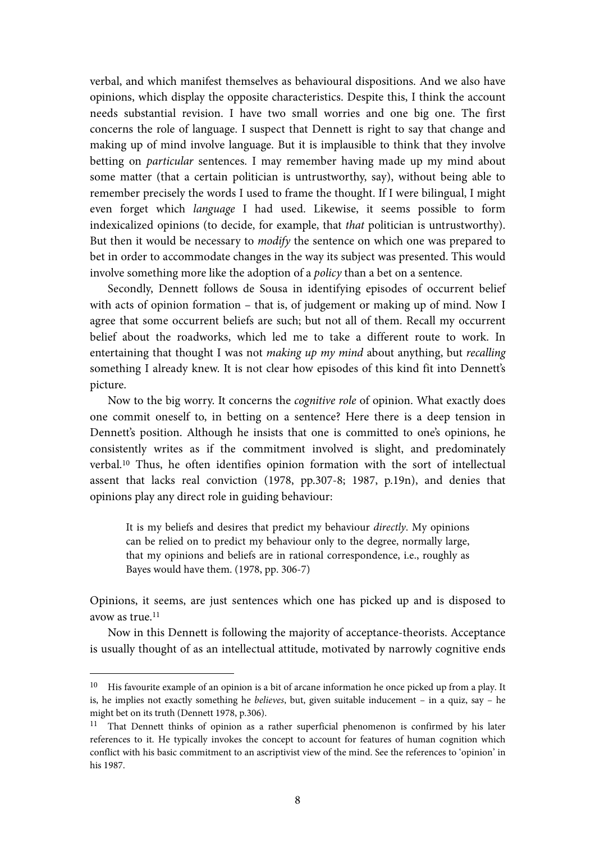verbal, and which manifest themselves as behavioural dispositions. And we also have opinions, which display the opposite characteristics. Despite this, I think the account needs substantial revision. I have two small worries and one big one. The first concerns the role of language. I suspect that Dennett is right to say that change and making up of mind involve language. But it is implausible to think that they involve betting on particular sentences. I may remember having made up my mind about some matter (that a certain politician is untrustworthy, say), without being able to remember precisely the words I used to frame the thought. If I were bilingual, I might even forget which language I had used. Likewise, it seems possible to form indexicalized opinions (to decide, for example, that that politician is untrustworthy). But then it would be necessary to *modify* the sentence on which one was prepared to bet in order to accommodate changes in the way its subject was presented. This would involve something more like the adoption of a policy than a bet on a sentence.

 Secondly, Dennett follows de Sousa in identifying episodes of occurrent belief with acts of opinion formation – that is, of judgement or making up of mind. Now I agree that some occurrent beliefs are such; but not all of them. Recall my occurrent belief about the roadworks, which led me to take a different route to work. In entertaining that thought I was not *making up my mind* about anything, but *recalling* something I already knew. It is not clear how episodes of this kind fit into Dennett's picture.

 Now to the big worry. It concerns the cognitive role of opinion. What exactly does one commit oneself to, in betting on a sentence? Here there is a deep tension in Dennett's position. Although he insists that one is committed to one's opinions, he consistently writes as if the commitment involved is slight, and predominately verbal.<sup>10</sup> Thus, he often identifies opinion formation with the sort of intellectual assent that lacks real conviction (1978, pp.307-8; 1987, p.19n), and denies that opinions play any direct role in guiding behaviour:

It is my beliefs and desires that predict my behaviour directly. My opinions can be relied on to predict my behaviour only to the degree, normally large, that my opinions and beliefs are in rational correspondence, i.e., roughly as Bayes would have them. (1978, pp. 306-7)

Opinions, it seems, are just sentences which one has picked up and is disposed to avow as true.<sup>11</sup>

 Now in this Dennett is following the majority of acceptance-theorists. Acceptance is usually thought of as an intellectual attitude, motivated by narrowly cognitive ends

-

 $10$  His favourite example of an opinion is a bit of arcane information he once picked up from a play. It is, he implies not exactly something he believes, but, given suitable inducement – in a quiz, say – he might bet on its truth (Dennett 1978, p.306).

<sup>&</sup>lt;sup>11</sup> That Dennett thinks of opinion as a rather superficial phenomenon is confirmed by his later references to it. He typically invokes the concept to account for features of human cognition which conflict with his basic commitment to an ascriptivist view of the mind. See the references to 'opinion' in his 1987.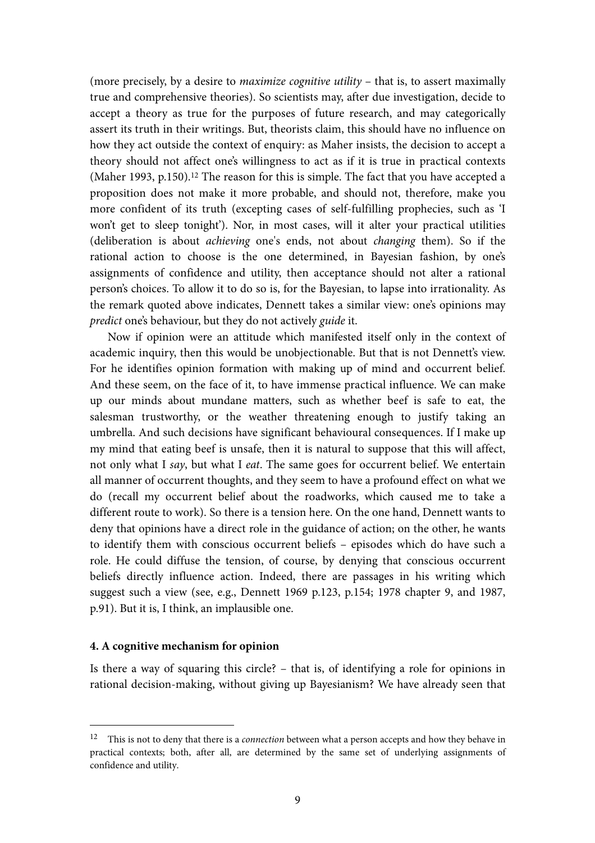(more precisely, by a desire to *maximize cognitive utility*  $-$  that is, to assert maximally true and comprehensive theories). So scientists may, after due investigation, decide to accept a theory as true for the purposes of future research, and may categorically assert its truth in their writings. But, theorists claim, this should have no influence on how they act outside the context of enquiry: as Maher insists, the decision to accept a theory should not affect one's willingness to act as if it is true in practical contexts (Maher 1993, p.150).<sup>12</sup> The reason for this is simple. The fact that you have accepted a proposition does not make it more probable, and should not, therefore, make you more confident of its truth (excepting cases of self-fulfilling prophecies, such as 'I won't get to sleep tonight'). Nor, in most cases, will it alter your practical utilities (deliberation is about achieving one's ends, not about changing them). So if the rational action to choose is the one determined, in Bayesian fashion, by one's assignments of confidence and utility, then acceptance should not alter a rational person's choices. To allow it to do so is, for the Bayesian, to lapse into irrationality. As the remark quoted above indicates, Dennett takes a similar view: one's opinions may predict one's behaviour, but they do not actively guide it.

 Now if opinion were an attitude which manifested itself only in the context of academic inquiry, then this would be unobjectionable. But that is not Dennett's view. For he identifies opinion formation with making up of mind and occurrent belief. And these seem, on the face of it, to have immense practical influence. We can make up our minds about mundane matters, such as whether beef is safe to eat, the salesman trustworthy, or the weather threatening enough to justify taking an umbrella. And such decisions have significant behavioural consequences. If I make up my mind that eating beef is unsafe, then it is natural to suppose that this will affect, not only what I say, but what I eat. The same goes for occurrent belief. We entertain all manner of occurrent thoughts, and they seem to have a profound effect on what we do (recall my occurrent belief about the roadworks, which caused me to take a different route to work). So there is a tension here. On the one hand, Dennett wants to deny that opinions have a direct role in the guidance of action; on the other, he wants to identify them with conscious occurrent beliefs – episodes which do have such a role. He could diffuse the tension, of course, by denying that conscious occurrent beliefs directly influence action. Indeed, there are passages in his writing which suggest such a view (see, e.g., Dennett 1969 p.123, p.154; 1978 chapter 9, and 1987, p.91). But it is, I think, an implausible one.

#### **4. A cognitive mechanism for opinion**

-

Is there a way of squaring this circle? – that is, of identifying a role for opinions in rational decision-making, without giving up Bayesianism? We have already seen that

<sup>&</sup>lt;sup>12</sup> This is not to deny that there is a *connection* between what a person accepts and how they behave in practical contexts; both, after all, are determined by the same set of underlying assignments of confidence and utility.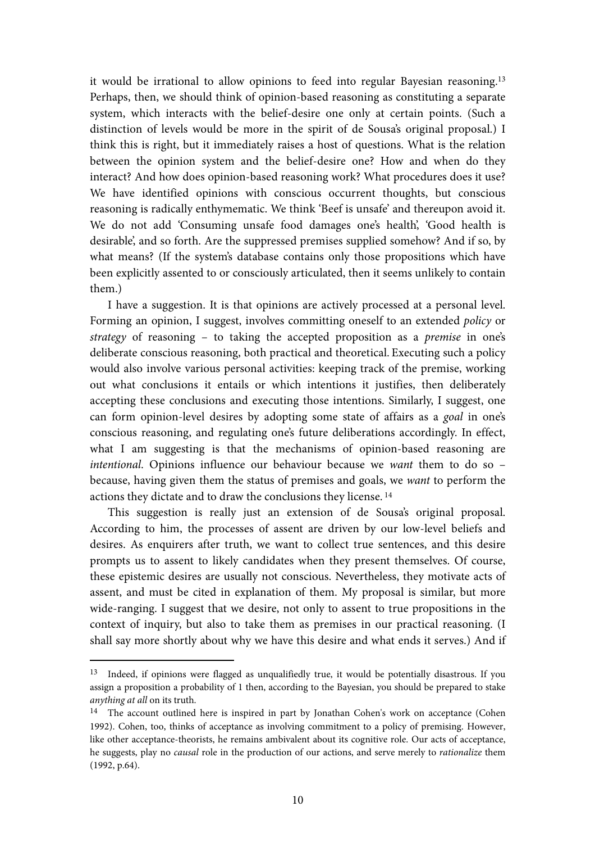it would be irrational to allow opinions to feed into regular Bayesian reasoning.<sup>13</sup> Perhaps, then, we should think of opinion-based reasoning as constituting a separate system, which interacts with the belief-desire one only at certain points. (Such a distinction of levels would be more in the spirit of de Sousa's original proposal.) I think this is right, but it immediately raises a host of questions. What is the relation between the opinion system and the belief-desire one? How and when do they interact? And how does opinion-based reasoning work? What procedures does it use? We have identified opinions with conscious occurrent thoughts, but conscious reasoning is radically enthymematic. We think 'Beef is unsafe' and thereupon avoid it. We do not add 'Consuming unsafe food damages one's health', 'Good health is desirable', and so forth. Are the suppressed premises supplied somehow? And if so, by what means? (If the system's database contains only those propositions which have been explicitly assented to or consciously articulated, then it seems unlikely to contain them.)

 I have a suggestion. It is that opinions are actively processed at a personal level. Forming an opinion, I suggest, involves committing oneself to an extended policy or strategy of reasoning – to taking the accepted proposition as a premise in one's deliberate conscious reasoning, both practical and theoretical. Executing such a policy would also involve various personal activities: keeping track of the premise, working out what conclusions it entails or which intentions it justifies, then deliberately accepting these conclusions and executing those intentions. Similarly, I suggest, one can form opinion-level desires by adopting some state of affairs as a goal in one's conscious reasoning, and regulating one's future deliberations accordingly. In effect, what I am suggesting is that the mechanisms of opinion-based reasoning are intentional. Opinions influence our behaviour because we want them to do so – because, having given them the status of premises and goals, we want to perform the actions they dictate and to draw the conclusions they license.<sup>14</sup>

 This suggestion is really just an extension of de Sousa's original proposal. According to him, the processes of assent are driven by our low-level beliefs and desires. As enquirers after truth, we want to collect true sentences, and this desire prompts us to assent to likely candidates when they present themselves. Of course, these epistemic desires are usually not conscious. Nevertheless, they motivate acts of assent, and must be cited in explanation of them. My proposal is similar, but more wide-ranging. I suggest that we desire, not only to assent to true propositions in the context of inquiry, but also to take them as premises in our practical reasoning. (I shall say more shortly about why we have this desire and what ends it serves.) And if

 $\overline{a}$ 

<sup>&</sup>lt;sup>13</sup> Indeed, if opinions were flagged as unqualifiedly true, it would be potentially disastrous. If you assign a proposition a probability of 1 then, according to the Bayesian, you should be prepared to stake anything at all on its truth.

<sup>&</sup>lt;sup>14</sup> The account outlined here is inspired in part by Jonathan Cohen's work on acceptance (Cohen 1992). Cohen, too, thinks of acceptance as involving commitment to a policy of premising. However, like other acceptance-theorists, he remains ambivalent about its cognitive role. Our acts of acceptance, he suggests, play no causal role in the production of our actions, and serve merely to rationalize them (1992, p.64).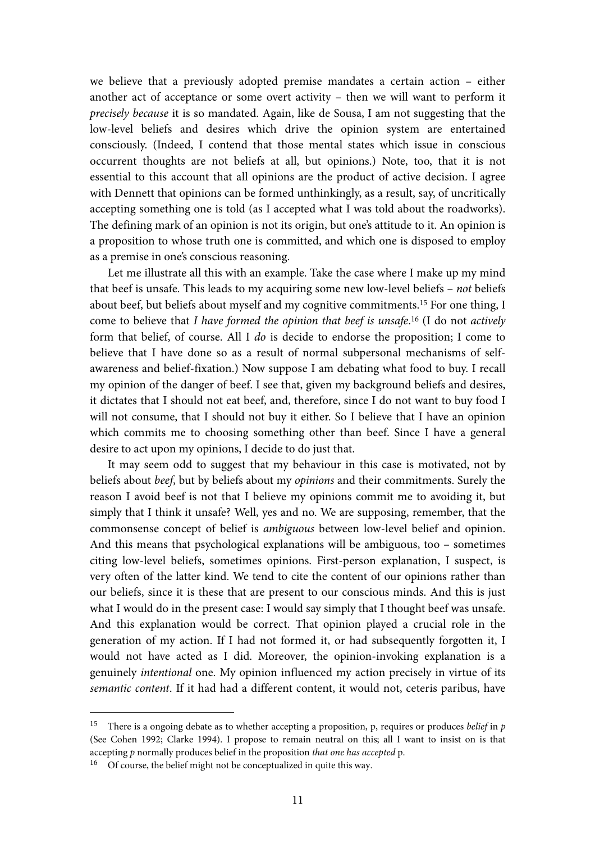we believe that a previously adopted premise mandates a certain action – either another act of acceptance or some overt activity – then we will want to perform it precisely because it is so mandated. Again, like de Sousa, I am not suggesting that the low-level beliefs and desires which drive the opinion system are entertained consciously. (Indeed, I contend that those mental states which issue in conscious occurrent thoughts are not beliefs at all, but opinions.) Note, too, that it is not essential to this account that all opinions are the product of active decision. I agree with Dennett that opinions can be formed unthinkingly, as a result, say, of uncritically accepting something one is told (as I accepted what I was told about the roadworks). The defining mark of an opinion is not its origin, but one's attitude to it. An opinion is a proposition to whose truth one is committed, and which one is disposed to employ as a premise in one's conscious reasoning.

 Let me illustrate all this with an example. Take the case where I make up my mind that beef is unsafe. This leads to my acquiring some new low-level beliefs – not beliefs about beef, but beliefs about myself and my cognitive commitments.<sup>15</sup> For one thing, I come to believe that I have formed the opinion that beef is unsafe.<sup>16</sup> (I do not actively form that belief, of course. All I do is decide to endorse the proposition; I come to believe that I have done so as a result of normal subpersonal mechanisms of selfawareness and belief-fixation.) Now suppose I am debating what food to buy. I recall my opinion of the danger of beef. I see that, given my background beliefs and desires, it dictates that I should not eat beef, and, therefore, since I do not want to buy food I will not consume, that I should not buy it either. So I believe that I have an opinion which commits me to choosing something other than beef. Since I have a general desire to act upon my opinions, I decide to do just that.

 It may seem odd to suggest that my behaviour in this case is motivated, not by beliefs about beef, but by beliefs about my opinions and their commitments. Surely the reason I avoid beef is not that I believe my opinions commit me to avoiding it, but simply that I think it unsafe? Well, yes and no. We are supposing, remember, that the commonsense concept of belief is ambiguous between low-level belief and opinion. And this means that psychological explanations will be ambiguous, too – sometimes citing low-level beliefs, sometimes opinions. First-person explanation, I suspect, is very often of the latter kind. We tend to cite the content of our opinions rather than our beliefs, since it is these that are present to our conscious minds. And this is just what I would do in the present case: I would say simply that I thought beef was unsafe. And this explanation would be correct. That opinion played a crucial role in the generation of my action. If I had not formed it, or had subsequently forgotten it, I would not have acted as I did. Moreover, the opinion-invoking explanation is a genuinely intentional one. My opinion influenced my action precisely in virtue of its semantic content. If it had had a different content, it would not, ceteris paribus, have

 $\overline{a}$ 

<sup>&</sup>lt;sup>15</sup> There is a ongoing debate as to whether accepting a proposition, p, requires or produces belief in p (See Cohen 1992; Clarke 1994). I propose to remain neutral on this; all I want to insist on is that accepting p normally produces belief in the proposition that one has accepted p.

<sup>&</sup>lt;sup>16</sup> Of course, the belief might not be conceptualized in quite this way.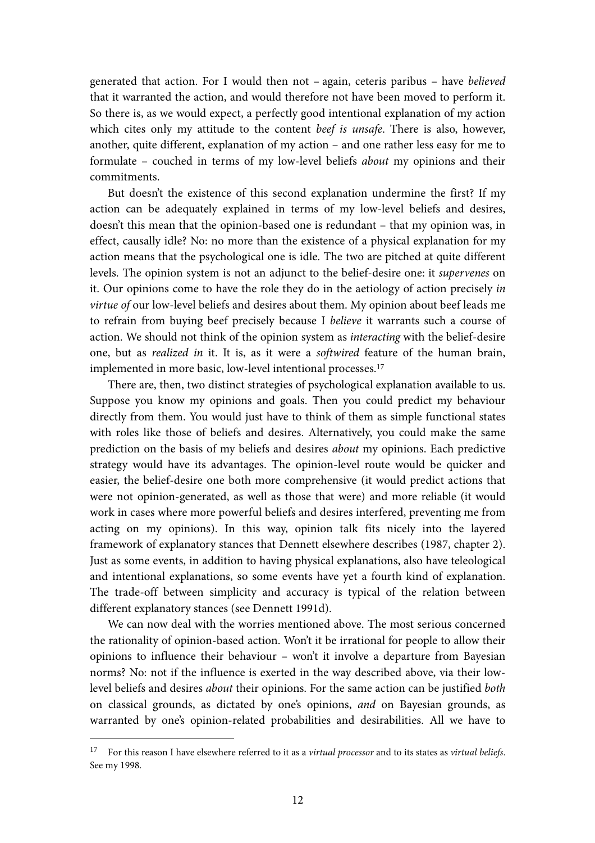generated that action. For I would then not – again, ceteris paribus – have believed that it warranted the action, and would therefore not have been moved to perform it. So there is, as we would expect, a perfectly good intentional explanation of my action which cites only my attitude to the content beef is unsafe. There is also, however, another, quite different, explanation of my action – and one rather less easy for me to formulate – couched in terms of my low-level beliefs about my opinions and their commitments.

 But doesn't the existence of this second explanation undermine the first? If my action can be adequately explained in terms of my low-level beliefs and desires, doesn't this mean that the opinion-based one is redundant – that my opinion was, in effect, causally idle? No: no more than the existence of a physical explanation for my action means that the psychological one is idle. The two are pitched at quite different levels. The opinion system is not an adjunct to the belief-desire one: it supervenes on it. Our opinions come to have the role they do in the aetiology of action precisely in virtue of our low-level beliefs and desires about them. My opinion about beef leads me to refrain from buying beef precisely because I believe it warrants such a course of action. We should not think of the opinion system as interacting with the belief-desire one, but as realized in it. It is, as it were a softwired feature of the human brain, implemented in more basic, low-level intentional processes.<sup>17</sup>

 There are, then, two distinct strategies of psychological explanation available to us. Suppose you know my opinions and goals. Then you could predict my behaviour directly from them. You would just have to think of them as simple functional states with roles like those of beliefs and desires. Alternatively, you could make the same prediction on the basis of my beliefs and desires about my opinions. Each predictive strategy would have its advantages. The opinion-level route would be quicker and easier, the belief-desire one both more comprehensive (it would predict actions that were not opinion-generated, as well as those that were) and more reliable (it would work in cases where more powerful beliefs and desires interfered, preventing me from acting on my opinions). In this way, opinion talk fits nicely into the layered framework of explanatory stances that Dennett elsewhere describes (1987, chapter 2). Just as some events, in addition to having physical explanations, also have teleological and intentional explanations, so some events have yet a fourth kind of explanation. The trade-off between simplicity and accuracy is typical of the relation between different explanatory stances (see Dennett 1991d).

 We can now deal with the worries mentioned above. The most serious concerned the rationality of opinion-based action. Won't it be irrational for people to allow their opinions to influence their behaviour – won't it involve a departure from Bayesian norms? No: not if the influence is exerted in the way described above, via their lowlevel beliefs and desires about their opinions. For the same action can be justified both on classical grounds, as dictated by one's opinions, and on Bayesian grounds, as warranted by one's opinion-related probabilities and desirabilities. All we have to

-

<sup>&</sup>lt;sup>17</sup> For this reason I have elsewhere referred to it as a *virtual processor* and to its states as *virtual beliefs*. See my 1998.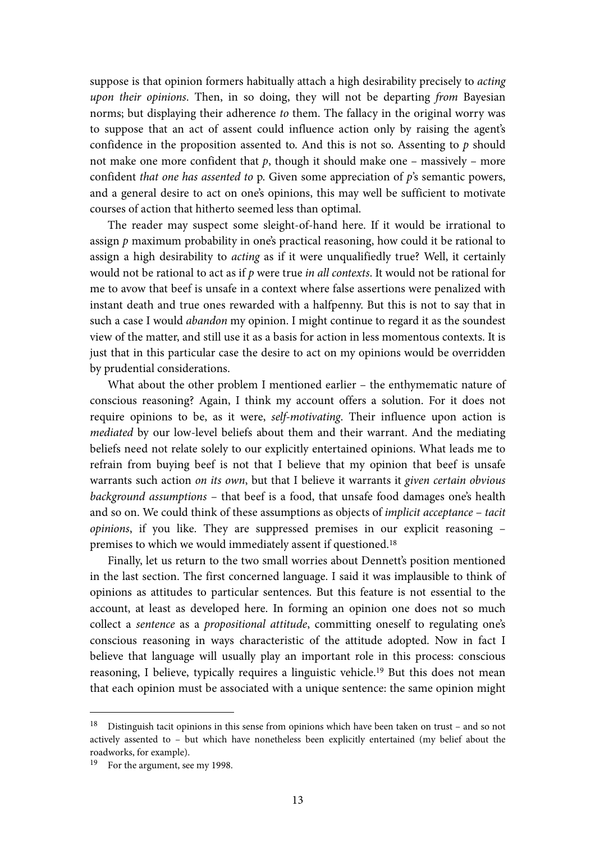suppose is that opinion formers habitually attach a high desirability precisely to *acting* upon their opinions. Then, in so doing, they will not be departing from Bayesian norms; but displaying their adherence to them. The fallacy in the original worry was to suppose that an act of assent could influence action only by raising the agent's confidence in the proposition assented to. And this is not so. Assenting to  $p$  should not make one more confident that  $p$ , though it should make one – massively – more confident that one has assented to p. Given some appreciation of  $p$ 's semantic powers, and a general desire to act on one's opinions, this may well be sufficient to motivate courses of action that hitherto seemed less than optimal.

 The reader may suspect some sleight-of-hand here. If it would be irrational to assign  $p$  maximum probability in one's practical reasoning, how could it be rational to assign a high desirability to acting as if it were unqualifiedly true? Well, it certainly would not be rational to act as if  $p$  were true in all contexts. It would not be rational for me to avow that beef is unsafe in a context where false assertions were penalized with instant death and true ones rewarded with a halfpenny. But this is not to say that in such a case I would *abandon* my opinion. I might continue to regard it as the soundest view of the matter, and still use it as a basis for action in less momentous contexts. It is just that in this particular case the desire to act on my opinions would be overridden by prudential considerations.

 What about the other problem I mentioned earlier – the enthymematic nature of conscious reasoning? Again, I think my account offers a solution. For it does not require opinions to be, as it were, self-motivating. Their influence upon action is mediated by our low-level beliefs about them and their warrant. And the mediating beliefs need not relate solely to our explicitly entertained opinions. What leads me to refrain from buying beef is not that I believe that my opinion that beef is unsafe warrants such action on its own, but that I believe it warrants it given certain obvious background assumptions – that beef is a food, that unsafe food damages one's health and so on. We could think of these assumptions as objects of implicit acceptance – tacit opinions, if you like. They are suppressed premises in our explicit reasoning – premises to which we would immediately assent if questioned.<sup>18</sup>

 Finally, let us return to the two small worries about Dennett's position mentioned in the last section. The first concerned language. I said it was implausible to think of opinions as attitudes to particular sentences. But this feature is not essential to the account, at least as developed here. In forming an opinion one does not so much collect a sentence as a propositional attitude, committing oneself to regulating one's conscious reasoning in ways characteristic of the attitude adopted. Now in fact I believe that language will usually play an important role in this process: conscious reasoning, I believe, typically requires a linguistic vehicle.<sup>19</sup> But this does not mean that each opinion must be associated with a unique sentence: the same opinion might

 $\overline{a}$ 

<sup>18</sup> Distinguish tacit opinions in this sense from opinions which have been taken on trust – and so not actively assented to – but which have nonetheless been explicitly entertained (my belief about the roadworks, for example).

<sup>19</sup> For the argument, see my 1998.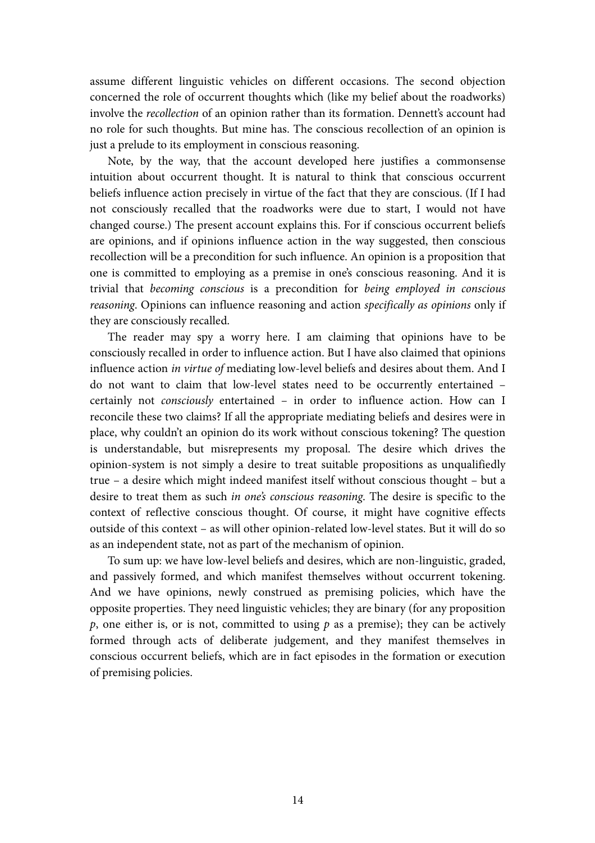assume different linguistic vehicles on different occasions. The second objection concerned the role of occurrent thoughts which (like my belief about the roadworks) involve the *recollection* of an opinion rather than its formation. Dennett's account had no role for such thoughts. But mine has. The conscious recollection of an opinion is just a prelude to its employment in conscious reasoning.

 Note, by the way, that the account developed here justifies a commonsense intuition about occurrent thought. It is natural to think that conscious occurrent beliefs influence action precisely in virtue of the fact that they are conscious. (If I had not consciously recalled that the roadworks were due to start, I would not have changed course.) The present account explains this. For if conscious occurrent beliefs are opinions, and if opinions influence action in the way suggested, then conscious recollection will be a precondition for such influence. An opinion is a proposition that one is committed to employing as a premise in one's conscious reasoning. And it is trivial that becoming conscious is a precondition for being employed in conscious reasoning. Opinions can influence reasoning and action specifically as opinions only if they are consciously recalled.

 The reader may spy a worry here. I am claiming that opinions have to be consciously recalled in order to influence action. But I have also claimed that opinions influence action in virtue of mediating low-level beliefs and desires about them. And I do not want to claim that low-level states need to be occurrently entertained – certainly not consciously entertained – in order to influence action. How can I reconcile these two claims? If all the appropriate mediating beliefs and desires were in place, why couldn't an opinion do its work without conscious tokening? The question is understandable, but misrepresents my proposal. The desire which drives the opinion-system is not simply a desire to treat suitable propositions as unqualifiedly true – a desire which might indeed manifest itself without conscious thought – but a desire to treat them as such in one's conscious reasoning. The desire is specific to the context of reflective conscious thought. Of course, it might have cognitive effects outside of this context – as will other opinion-related low-level states. But it will do so as an independent state, not as part of the mechanism of opinion.

 To sum up: we have low-level beliefs and desires, which are non-linguistic, graded, and passively formed, and which manifest themselves without occurrent tokening. And we have opinions, newly construed as premising policies, which have the opposite properties. They need linguistic vehicles; they are binary (for any proposition  $p$ , one either is, or is not, committed to using  $p$  as a premise); they can be actively formed through acts of deliberate judgement, and they manifest themselves in conscious occurrent beliefs, which are in fact episodes in the formation or execution of premising policies.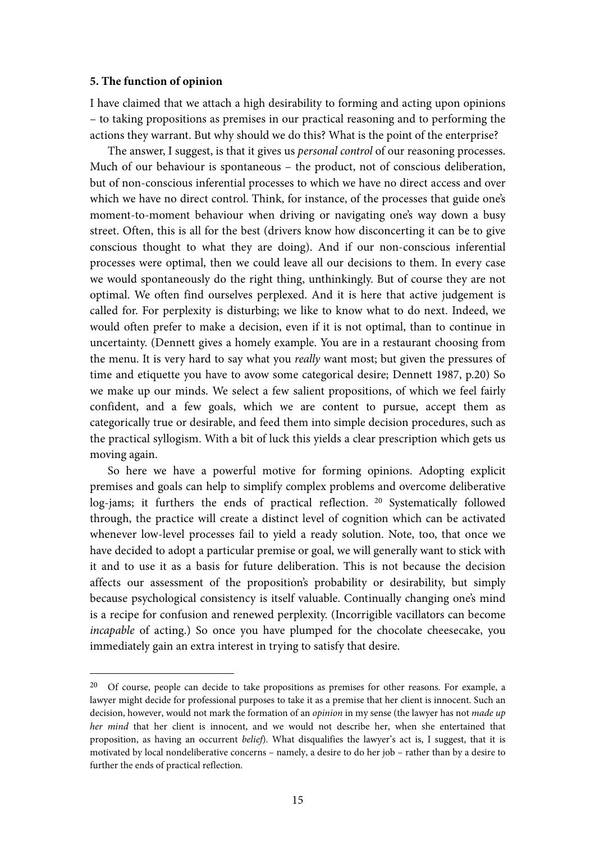#### **5. The function of opinion**

-

I have claimed that we attach a high desirability to forming and acting upon opinions – to taking propositions as premises in our practical reasoning and to performing the actions they warrant. But why should we do this? What is the point of the enterprise?

The answer, I suggest, is that it gives us *personal control* of our reasoning processes. Much of our behaviour is spontaneous – the product, not of conscious deliberation, but of non-conscious inferential processes to which we have no direct access and over which we have no direct control. Think, for instance, of the processes that guide one's moment-to-moment behaviour when driving or navigating one's way down a busy street. Often, this is all for the best (drivers know how disconcerting it can be to give conscious thought to what they are doing). And if our non-conscious inferential processes were optimal, then we could leave all our decisions to them. In every case we would spontaneously do the right thing, unthinkingly. But of course they are not optimal. We often find ourselves perplexed. And it is here that active judgement is called for. For perplexity is disturbing; we like to know what to do next. Indeed, we would often prefer to make a decision, even if it is not optimal, than to continue in uncertainty. (Dennett gives a homely example. You are in a restaurant choosing from the menu. It is very hard to say what you really want most; but given the pressures of time and etiquette you have to avow some categorical desire; Dennett 1987, p.20) So we make up our minds. We select a few salient propositions, of which we feel fairly confident, and a few goals, which we are content to pursue, accept them as categorically true or desirable, and feed them into simple decision procedures, such as the practical syllogism. With a bit of luck this yields a clear prescription which gets us moving again.

 So here we have a powerful motive for forming opinions. Adopting explicit premises and goals can help to simplify complex problems and overcome deliberative log-jams; it furthers the ends of practical reflection.<sup>20</sup> Systematically followed through, the practice will create a distinct level of cognition which can be activated whenever low-level processes fail to yield a ready solution. Note, too, that once we have decided to adopt a particular premise or goal, we will generally want to stick with it and to use it as a basis for future deliberation. This is not because the decision affects our assessment of the proposition's probability or desirability, but simply because psychological consistency is itself valuable. Continually changing one's mind is a recipe for confusion and renewed perplexity. (Incorrigible vacillators can become incapable of acting.) So once you have plumped for the chocolate cheesecake, you immediately gain an extra interest in trying to satisfy that desire.

<sup>&</sup>lt;sup>20</sup> Of course, people can decide to take propositions as premises for other reasons. For example, a lawyer might decide for professional purposes to take it as a premise that her client is innocent. Such an decision, however, would not mark the formation of an *opinion* in my sense (the lawyer has not *made up* her mind that her client is innocent, and we would not describe her, when she entertained that proposition, as having an occurrent *belief*). What disqualifies the lawyer's act is, I suggest, that it is motivated by local nondeliberative concerns – namely, a desire to do her job – rather than by a desire to further the ends of practical reflection.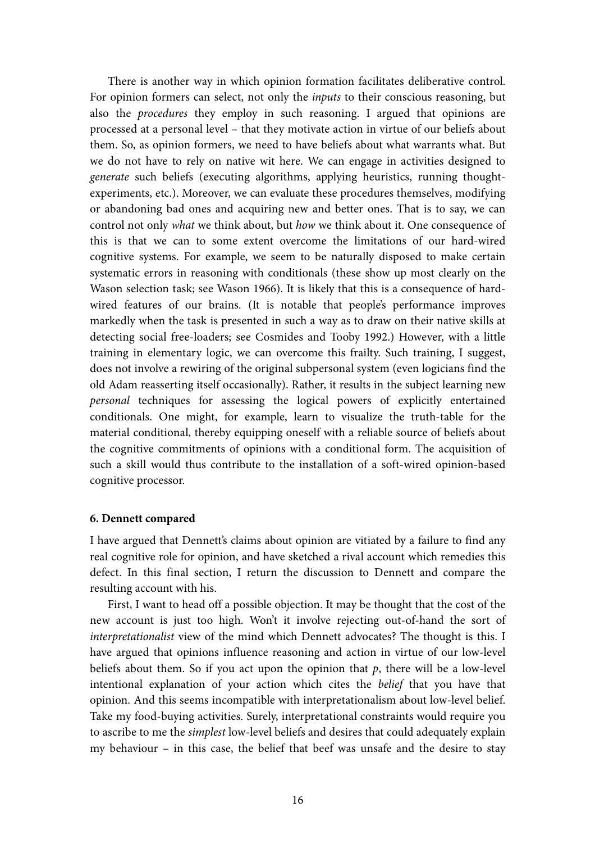There is another way in which opinion formation facilitates deliberative control. For opinion formers can select, not only the inputs to their conscious reasoning, but also the procedures they employ in such reasoning. I argued that opinions are processed at a personal level – that they motivate action in virtue of our beliefs about them. So, as opinion formers, we need to have beliefs about what warrants what. But we do not have to rely on native wit here. We can engage in activities designed to generate such beliefs (executing algorithms, applying heuristics, running thoughtexperiments, etc.). Moreover, we can evaluate these procedures themselves, modifying or abandoning bad ones and acquiring new and better ones. That is to say, we can control not only what we think about, but how we think about it. One consequence of this is that we can to some extent overcome the limitations of our hard-wired cognitive systems. For example, we seem to be naturally disposed to make certain systematic errors in reasoning with conditionals (these show up most clearly on the Wason selection task; see Wason 1966). It is likely that this is a consequence of hardwired features of our brains. (It is notable that people's performance improves markedly when the task is presented in such a way as to draw on their native skills at detecting social free-loaders; see Cosmides and Tooby 1992.) However, with a little training in elementary logic, we can overcome this frailty. Such training, I suggest, does not involve a rewiring of the original subpersonal system (even logicians find the old Adam reasserting itself occasionally). Rather, it results in the subject learning new personal techniques for assessing the logical powers of explicitly entertained conditionals. One might, for example, learn to visualize the truth-table for the material conditional, thereby equipping oneself with a reliable source of beliefs about the cognitive commitments of opinions with a conditional form. The acquisition of such a skill would thus contribute to the installation of a soft-wired opinion-based cognitive processor.

### **6. Dennett compared**

I have argued that Dennett's claims about opinion are vitiated by a failure to find any real cognitive role for opinion, and have sketched a rival account which remedies this defect. In this final section, I return the discussion to Dennett and compare the resulting account with his.

 First, I want to head off a possible objection. It may be thought that the cost of the new account is just too high. Won't it involve rejecting out-of-hand the sort of interpretationalist view of the mind which Dennett advocates? The thought is this. I have argued that opinions influence reasoning and action in virtue of our low-level beliefs about them. So if you act upon the opinion that  $p$ , there will be a low-level intentional explanation of your action which cites the belief that you have that opinion. And this seems incompatible with interpretationalism about low-level belief. Take my food-buying activities. Surely, interpretational constraints would require you to ascribe to me the *simplest* low-level beliefs and desires that could adequately explain my behaviour – in this case, the belief that beef was unsafe and the desire to stay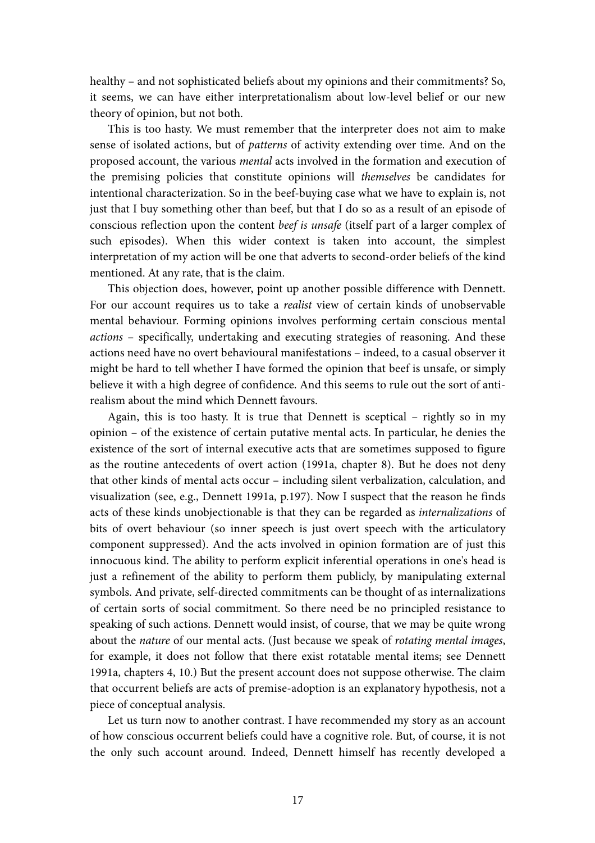healthy – and not sophisticated beliefs about my opinions and their commitments? So, it seems, we can have either interpretationalism about low-level belief or our new theory of opinion, but not both.

 This is too hasty. We must remember that the interpreter does not aim to make sense of isolated actions, but of patterns of activity extending over time. And on the proposed account, the various mental acts involved in the formation and execution of the premising policies that constitute opinions will themselves be candidates for intentional characterization. So in the beef-buying case what we have to explain is, not just that I buy something other than beef, but that I do so as a result of an episode of conscious reflection upon the content beef is unsafe (itself part of a larger complex of such episodes). When this wider context is taken into account, the simplest interpretation of my action will be one that adverts to second-order beliefs of the kind mentioned. At any rate, that is the claim.

 This objection does, however, point up another possible difference with Dennett. For our account requires us to take a realist view of certain kinds of unobservable mental behaviour. Forming opinions involves performing certain conscious mental actions – specifically, undertaking and executing strategies of reasoning. And these actions need have no overt behavioural manifestations – indeed, to a casual observer it might be hard to tell whether I have formed the opinion that beef is unsafe, or simply believe it with a high degree of confidence. And this seems to rule out the sort of antirealism about the mind which Dennett favours.

 Again, this is too hasty. It is true that Dennett is sceptical – rightly so in my opinion – of the existence of certain putative mental acts. In particular, he denies the existence of the sort of internal executive acts that are sometimes supposed to figure as the routine antecedents of overt action (1991a, chapter 8). But he does not deny that other kinds of mental acts occur – including silent verbalization, calculation, and visualization (see, e.g., Dennett 1991a, p.197). Now I suspect that the reason he finds acts of these kinds unobjectionable is that they can be regarded as internalizations of bits of overt behaviour (so inner speech is just overt speech with the articulatory component suppressed). And the acts involved in opinion formation are of just this innocuous kind. The ability to perform explicit inferential operations in one's head is just a refinement of the ability to perform them publicly, by manipulating external symbols. And private, self-directed commitments can be thought of as internalizations of certain sorts of social commitment. So there need be no principled resistance to speaking of such actions. Dennett would insist, of course, that we may be quite wrong about the nature of our mental acts. (Just because we speak of rotating mental images, for example, it does not follow that there exist rotatable mental items; see Dennett 1991a, chapters 4, 10.) But the present account does not suppose otherwise. The claim that occurrent beliefs are acts of premise-adoption is an explanatory hypothesis, not a piece of conceptual analysis.

 Let us turn now to another contrast. I have recommended my story as an account of how conscious occurrent beliefs could have a cognitive role. But, of course, it is not the only such account around. Indeed, Dennett himself has recently developed a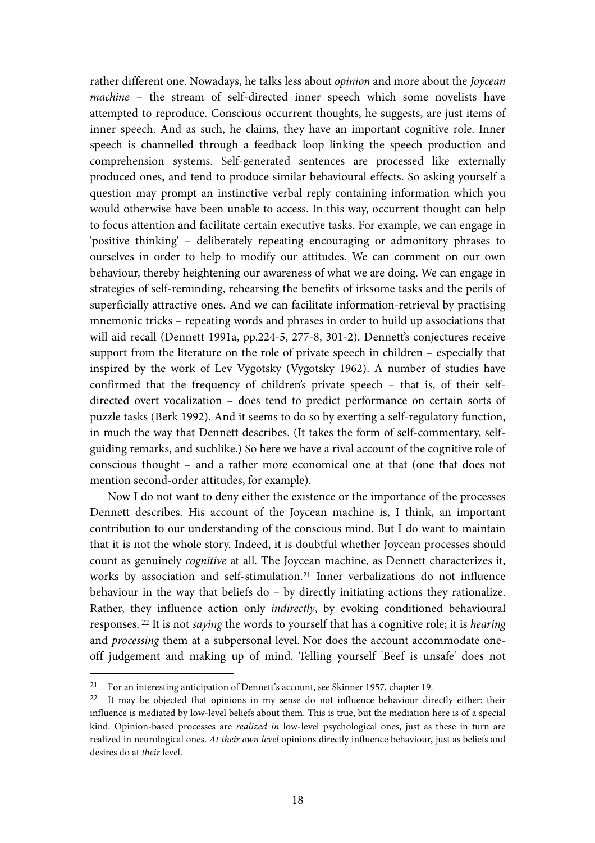rather different one. Nowadays, he talks less about *opinion* and more about the *Joycean* machine – the stream of self-directed inner speech which some novelists have attempted to reproduce. Conscious occurrent thoughts, he suggests, are just items of inner speech. And as such, he claims, they have an important cognitive role. Inner speech is channelled through a feedback loop linking the speech production and comprehension systems. Self-generated sentences are processed like externally produced ones, and tend to produce similar behavioural effects. So asking yourself a question may prompt an instinctive verbal reply containing information which you would otherwise have been unable to access. In this way, occurrent thought can help to focus attention and facilitate certain executive tasks. For example, we can engage in 'positive thinking' – deliberately repeating encouraging or admonitory phrases to ourselves in order to help to modify our attitudes. We can comment on our own behaviour, thereby heightening our awareness of what we are doing. We can engage in strategies of self-reminding, rehearsing the benefits of irksome tasks and the perils of superficially attractive ones. And we can facilitate information-retrieval by practising mnemonic tricks – repeating words and phrases in order to build up associations that will aid recall (Dennett 1991a, pp.224-5, 277-8, 301-2). Dennett's conjectures receive support from the literature on the role of private speech in children – especially that inspired by the work of Lev Vygotsky (Vygotsky 1962). A number of studies have confirmed that the frequency of children's private speech – that is, of their selfdirected overt vocalization – does tend to predict performance on certain sorts of puzzle tasks (Berk 1992). And it seems to do so by exerting a self-regulatory function, in much the way that Dennett describes. (It takes the form of self-commentary, selfguiding remarks, and suchlike.) So here we have a rival account of the cognitive role of conscious thought – and a rather more economical one at that (one that does not mention second-order attitudes, for example).

 Now I do not want to deny either the existence or the importance of the processes Dennett describes. His account of the Joycean machine is, I think, an important contribution to our understanding of the conscious mind. But I do want to maintain that it is not the whole story. Indeed, it is doubtful whether Joycean processes should count as genuinely cognitive at all. The Joycean machine, as Dennett characterizes it, works by association and self-stimulation.<sup>21</sup> Inner verbalizations do not influence behaviour in the way that beliefs do – by directly initiating actions they rationalize. Rather, they influence action only *indirectly*, by evoking conditioned behavioural responses.<sup>22</sup> It is not saying the words to yourself that has a cognitive role; it is hearing and processing them at a subpersonal level. Nor does the account accommodate oneoff judgement and making up of mind. Telling yourself 'Beef is unsafe' does not

-

<sup>21</sup> For an interesting anticipation of Dennett's account, see Skinner 1957, chapter 19.

<sup>&</sup>lt;sup>22</sup> It may be objected that opinions in my sense do not influence behaviour directly either: their influence is mediated by low-level beliefs about them. This is true, but the mediation here is of a special kind. Opinion-based processes are *realized in* low-level psychological ones, just as these in turn are realized in neurological ones. At their own level opinions directly influence behaviour, just as beliefs and desires do at their level.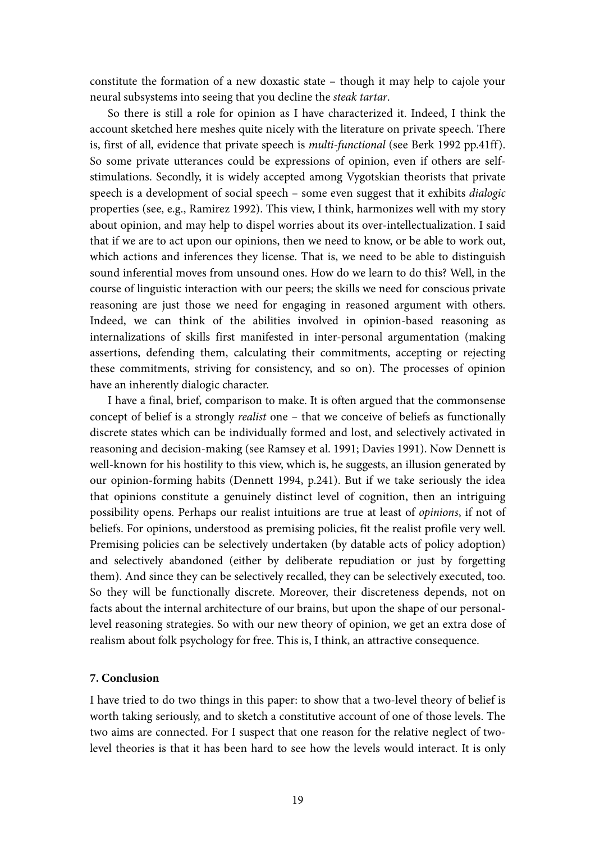constitute the formation of a new doxastic state – though it may help to cajole your neural subsystems into seeing that you decline the steak tartar.

 So there is still a role for opinion as I have characterized it. Indeed, I think the account sketched here meshes quite nicely with the literature on private speech. There is, first of all, evidence that private speech is multi-functional (see Berk 1992 pp.41ff). So some private utterances could be expressions of opinion, even if others are selfstimulations. Secondly, it is widely accepted among Vygotskian theorists that private speech is a development of social speech – some even suggest that it exhibits dialogic properties (see, e.g., Ramirez 1992). This view, I think, harmonizes well with my story about opinion, and may help to dispel worries about its over-intellectualization. I said that if we are to act upon our opinions, then we need to know, or be able to work out, which actions and inferences they license. That is, we need to be able to distinguish sound inferential moves from unsound ones. How do we learn to do this? Well, in the course of linguistic interaction with our peers; the skills we need for conscious private reasoning are just those we need for engaging in reasoned argument with others. Indeed, we can think of the abilities involved in opinion-based reasoning as internalizations of skills first manifested in inter-personal argumentation (making assertions, defending them, calculating their commitments, accepting or rejecting these commitments, striving for consistency, and so on). The processes of opinion have an inherently dialogic character.

 I have a final, brief, comparison to make. It is often argued that the commonsense concept of belief is a strongly realist one – that we conceive of beliefs as functionally discrete states which can be individually formed and lost, and selectively activated in reasoning and decision-making (see Ramsey et al. 1991; Davies 1991). Now Dennett is well-known for his hostility to this view, which is, he suggests, an illusion generated by our opinion-forming habits (Dennett 1994, p.241). But if we take seriously the idea that opinions constitute a genuinely distinct level of cognition, then an intriguing possibility opens. Perhaps our realist intuitions are true at least of opinions, if not of beliefs. For opinions, understood as premising policies, fit the realist profile very well. Premising policies can be selectively undertaken (by datable acts of policy adoption) and selectively abandoned (either by deliberate repudiation or just by forgetting them). And since they can be selectively recalled, they can be selectively executed, too. So they will be functionally discrete. Moreover, their discreteness depends, not on facts about the internal architecture of our brains, but upon the shape of our personallevel reasoning strategies. So with our new theory of opinion, we get an extra dose of realism about folk psychology for free. This is, I think, an attractive consequence.

## **7. Conclusion**

I have tried to do two things in this paper: to show that a two-level theory of belief is worth taking seriously, and to sketch a constitutive account of one of those levels. The two aims are connected. For I suspect that one reason for the relative neglect of twolevel theories is that it has been hard to see how the levels would interact. It is only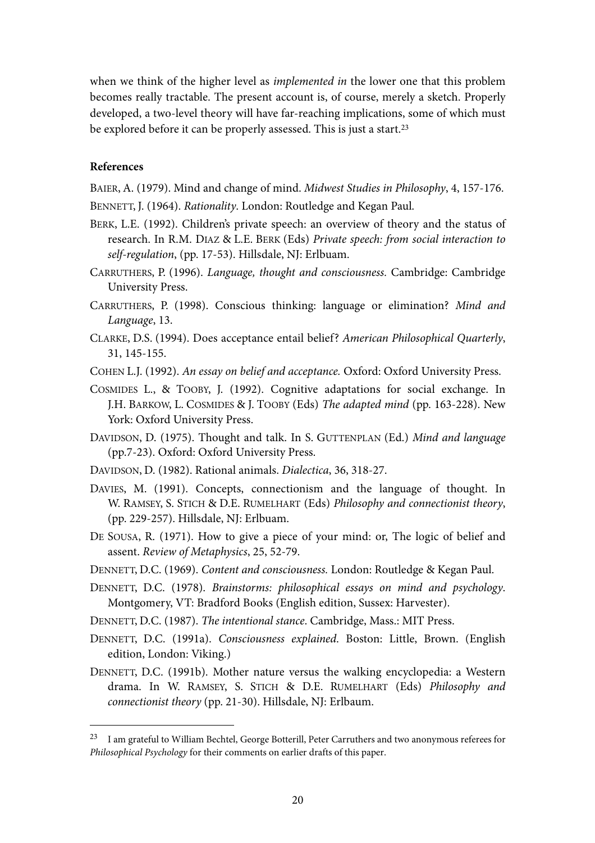when we think of the higher level as *implemented in* the lower one that this problem becomes really tractable. The present account is, of course, merely a sketch. Properly developed, a two-level theory will have far-reaching implications, some of which must be explored before it can be properly assessed. This is just a start.<sup>23</sup>

## **References**

-

BAIER, A. (1979). Mind and change of mind. Midwest Studies in Philosophy, 4, 157-176. BENNETT, J. (1964). Rationality. London: Routledge and Kegan Paul.

- BERK, L.E. (1992). Children's private speech: an overview of theory and the status of research. In R.M. DIAZ & L.E. BERK (Eds) Private speech: from social interaction to self-regulation, (pp. 17-53). Hillsdale, NJ: Erlbuam.
- CARRUTHERS, P. (1996). Language, thought and consciousness. Cambridge: Cambridge University Press.
- CARRUTHERS, P. (1998). Conscious thinking: language or elimination? Mind and Language, 13.
- CLARKE, D.S. (1994). Does acceptance entail belief? American Philosophical Quarterly, 31, 145-155.
- COHEN L.J. (1992). An essay on belief and acceptance. Oxford: Oxford University Press.
- COSMIDES L., & TOOBY, J. (1992). Cognitive adaptations for social exchange. In J.H. BARKOW, L. COSMIDES & J. TOOBY (Eds) The adapted mind (pp. 163-228). New York: Oxford University Press.
- DAVIDSON, D. (1975). Thought and talk. In S. GUTTENPLAN (Ed.) Mind and language (pp.7-23). Oxford: Oxford University Press.
- DAVIDSON, D. (1982). Rational animals. Dialectica, 36, 318-27.
- DAVIES, M. (1991). Concepts, connectionism and the language of thought. In W. RAMSEY, S. STICH & D.E. RUMELHART (Eds) Philosophy and connectionist theory, (pp. 229-257). Hillsdale, NJ: Erlbuam.
- DE SOUSA, R. (1971). How to give a piece of your mind: or, The logic of belief and assent. Review of Metaphysics, 25, 52-79.
- DENNETT, D.C. (1969). Content and consciousness. London: Routledge & Kegan Paul.
- DENNETT, D.C. (1978). Brainstorms: philosophical essays on mind and psychology. Montgomery, VT: Bradford Books (English edition, Sussex: Harvester).
- DENNETT, D.C. (1987). The intentional stance. Cambridge, Mass.: MIT Press.
- DENNETT, D.C. (1991a). Consciousness explained. Boston: Little, Brown. (English edition, London: Viking.)
- DENNETT, D.C. (1991b). Mother nature versus the walking encyclopedia: a Western drama. In W. RAMSEY, S. STICH & D.E. RUMELHART (Eds) Philosophy and connectionist theory (pp. 21-30). Hillsdale, NJ: Erlbaum.

<sup>&</sup>lt;sup>23</sup> I am grateful to William Bechtel, George Botterill, Peter Carruthers and two anonymous referees for Philosophical Psychology for their comments on earlier drafts of this paper.